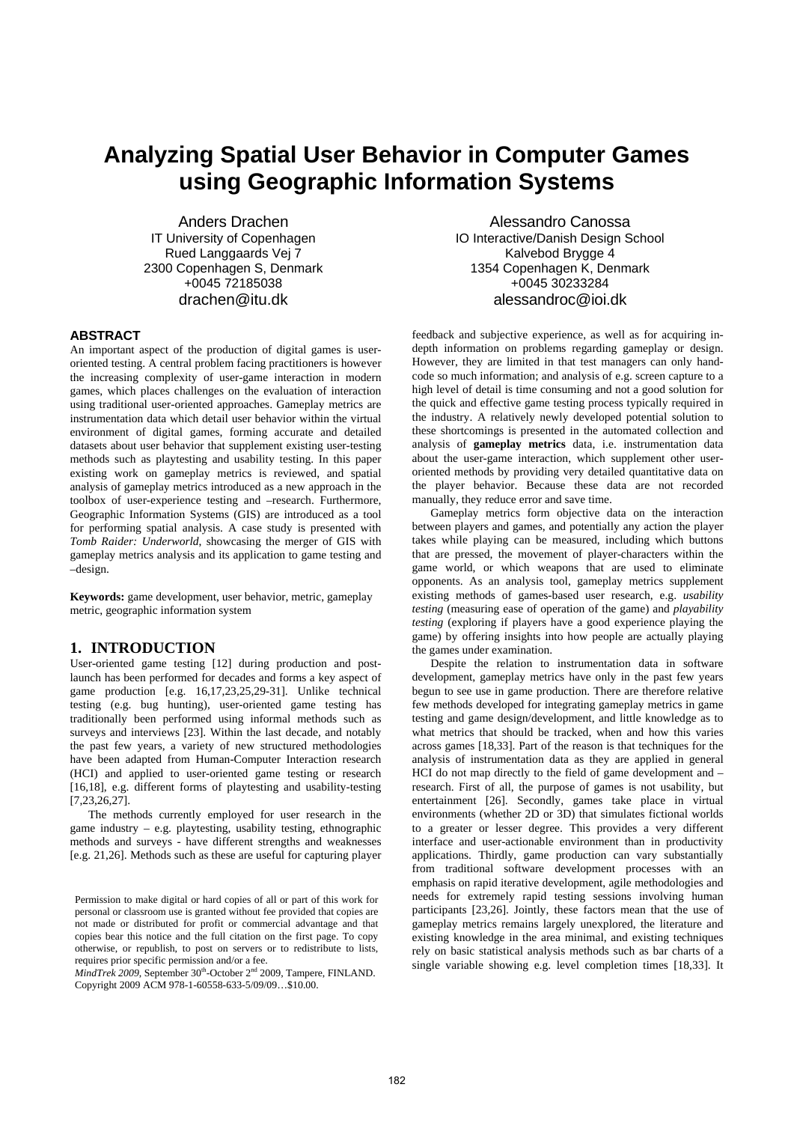# **Analyzing Spatial User Behavior in Computer Games using Geographic Information Systems**

Anders Drachen IT University of Copenhagen Rued Langgaards Vej 7 2300 Copenhagen S, Denmark +0045 72185038 drachen@itu.dk

#### **ABSTRACT**

An important aspect of the production of digital games is useroriented testing. A central problem facing practitioners is however the increasing complexity of user-game interaction in modern games, which places challenges on the evaluation of interaction using traditional user-oriented approaches. Gameplay metrics are instrumentation data which detail user behavior within the virtual environment of digital games, forming accurate and detailed datasets about user behavior that supplement existing user-testing methods such as playtesting and usability testing. In this paper existing work on gameplay metrics is reviewed, and spatial analysis of gameplay metrics introduced as a new approach in the toolbox of user-experience testing and –research. Furthermore, Geographic Information Systems (GIS) are introduced as a tool for performing spatial analysis. A case study is presented with *Tomb Raider: Underworld*, showcasing the merger of GIS with gameplay metrics analysis and its application to game testing and –design.

**Keywords:** game development, user behavior, metric, gameplay metric, geographic information system

# **1. INTRODUCTION**

User-oriented game testing [12] during production and postlaunch has been performed for decades and forms a key aspect of game production [e.g. 16,17,23,25,29-31]. Unlike technical testing (e.g. bug hunting), user-oriented game testing has traditionally been performed using informal methods such as surveys and interviews [23]. Within the last decade, and notably the past few years, a variety of new structured methodologies have been adapted from Human-Computer Interaction research (HCI) and applied to user-oriented game testing or research [16,18], e.g. different forms of playtesting and usability-testing [7,23,26,27].

The methods currently employed for user research in the game industry – e.g. playtesting, usability testing, ethnographic methods and surveys - have different strengths and weaknesses [e.g. 21,26]. Methods such as these are useful for capturing player

*MindTrek* 2009, September 30<sup>th</sup>-October 2<sup>nd</sup> 2009, Tampere, FINLAND. Copyright 2009 ACM 978-1-60558-633-5/09/09…\$10.00.

Alessandro Canossa IO Interactive/Danish Design School Kalvebod Brygge 4 1354 Copenhagen K, Denmark +0045 30233284 alessandroc@ioi.dk

feedback and subjective experience, as well as for acquiring indepth information on problems regarding gameplay or design. However, they are limited in that test managers can only handcode so much information; and analysis of e.g. screen capture to a high level of detail is time consuming and not a good solution for the quick and effective game testing process typically required in the industry. A relatively newly developed potential solution to these shortcomings is presented in the automated collection and analysis of **gameplay metrics** data, i.e. instrumentation data about the user-game interaction, which supplement other useroriented methods by providing very detailed quantitative data on the player behavior. Because these data are not recorded manually, they reduce error and save time.

Gameplay metrics form objective data on the interaction between players and games, and potentially any action the player takes while playing can be measured, including which buttons that are pressed, the movement of player-characters within the game world, or which weapons that are used to eliminate opponents. As an analysis tool, gameplay metrics supplement existing methods of games-based user research, e.g. *usability testing* (measuring ease of operation of the game) and *playability testing* (exploring if players have a good experience playing the game) by offering insights into how people are actually playing the games under examination.

Despite the relation to instrumentation data in software development, gameplay metrics have only in the past few years begun to see use in game production. There are therefore relative few methods developed for integrating gameplay metrics in game testing and game design/development, and little knowledge as to what metrics that should be tracked, when and how this varies across games [18,33]. Part of the reason is that techniques for the analysis of instrumentation data as they are applied in general HCI do not map directly to the field of game development and – research. First of all, the purpose of games is not usability, but entertainment [26]. Secondly, games take place in virtual environments (whether 2D or 3D) that simulates fictional worlds to a greater or lesser degree. This provides a very different interface and user-actionable environment than in productivity applications. Thirdly, game production can vary substantially from traditional software development processes with an emphasis on rapid iterative development, agile methodologies and needs for extremely rapid testing sessions involving human participants [23,26]. Jointly, these factors mean that the use of gameplay metrics remains largely unexplored, the literature and existing knowledge in the area minimal, and existing techniques rely on basic statistical analysis methods such as bar charts of a single variable showing e.g. level completion times [18,33]. It

Permission to make digital or hard copies of all or part of this work for personal or classroom use is granted without fee provided that copies are not made or distributed for profit or commercial advantage and that copies bear this notice and the full citation on the first page. To copy otherwise, or republish, to post on servers or to redistribute to lists, requires prior specific permission and/or a fee.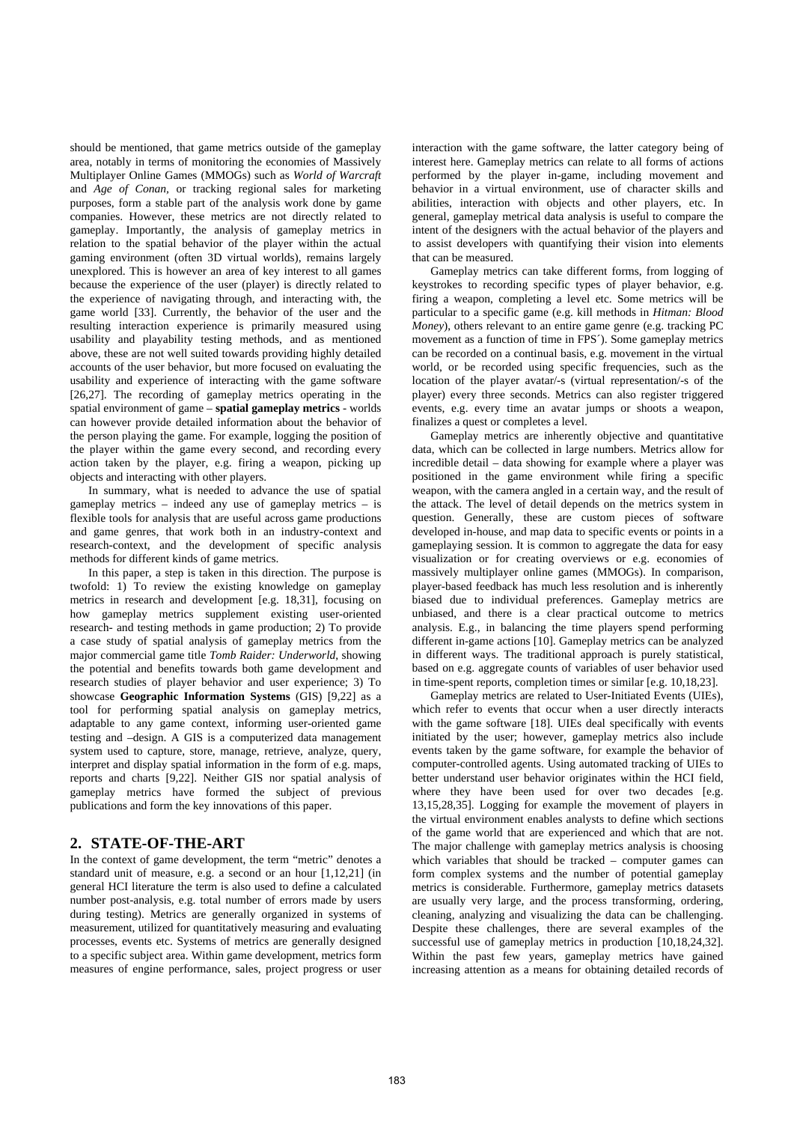should be mentioned, that game metrics outside of the gameplay area, notably in terms of monitoring the economies of Massively Multiplayer Online Games (MMOGs) such as *World of Warcraft*  and *Age of Conan,* or tracking regional sales for marketing purposes, form a stable part of the analysis work done by game companies. However, these metrics are not directly related to gameplay. Importantly, the analysis of gameplay metrics in relation to the spatial behavior of the player within the actual gaming environment (often 3D virtual worlds), remains largely unexplored. This is however an area of key interest to all games because the experience of the user (player) is directly related to the experience of navigating through, and interacting with, the game world [33]. Currently, the behavior of the user and the resulting interaction experience is primarily measured using usability and playability testing methods, and as mentioned above, these are not well suited towards providing highly detailed accounts of the user behavior, but more focused on evaluating the usability and experience of interacting with the game software [26,27]. The recording of gameplay metrics operating in the spatial environment of game – **spatial gameplay metrics** - worlds can however provide detailed information about the behavior of the person playing the game. For example, logging the position of the player within the game every second, and recording every action taken by the player, e.g. firing a weapon, picking up objects and interacting with other players.

In summary, what is needed to advance the use of spatial gameplay metrics – indeed any use of gameplay metrics – is flexible tools for analysis that are useful across game productions and game genres, that work both in an industry-context and research-context, and the development of specific analysis methods for different kinds of game metrics.

In this paper, a step is taken in this direction. The purpose is twofold: 1) To review the existing knowledge on gameplay metrics in research and development [e.g. 18,31], focusing on how gameplay metrics supplement existing user-oriented research- and testing methods in game production; 2) To provide a case study of spatial analysis of gameplay metrics from the major commercial game title *Tomb Raider: Underworld*, showing the potential and benefits towards both game development and research studies of player behavior and user experience; 3) To showcase **Geographic Information Systems** (GIS) [9,22] as a tool for performing spatial analysis on gameplay metrics, adaptable to any game context, informing user-oriented game testing and –design. A GIS is a computerized data management system used to capture, store, manage, retrieve, analyze, query, interpret and display spatial information in the form of e.g. maps, reports and charts [9,22]. Neither GIS nor spatial analysis of gameplay metrics have formed the subject of previous publications and form the key innovations of this paper.

# **2. STATE-OF-THE-ART**

In the context of game development, the term "metric" denotes a standard unit of measure, e.g. a second or an hour [1,12,21] (in general HCI literature the term is also used to define a calculated number post-analysis, e.g. total number of errors made by users during testing). Metrics are generally organized in systems of measurement, utilized for quantitatively measuring and evaluating processes, events etc. Systems of metrics are generally designed to a specific subject area. Within game development, metrics form measures of engine performance, sales, project progress or user interaction with the game software, the latter category being of interest here. Gameplay metrics can relate to all forms of actions performed by the player in-game, including movement and behavior in a virtual environment, use of character skills and abilities, interaction with objects and other players, etc. In general, gameplay metrical data analysis is useful to compare the intent of the designers with the actual behavior of the players and to assist developers with quantifying their vision into elements that can be measured.

Gameplay metrics can take different forms, from logging of keystrokes to recording specific types of player behavior, e.g. firing a weapon, completing a level etc. Some metrics will be particular to a specific game (e.g. kill methods in *Hitman: Blood Money*), others relevant to an entire game genre (e.g. tracking PC movement as a function of time in FPS´). Some gameplay metrics can be recorded on a continual basis, e.g. movement in the virtual world, or be recorded using specific frequencies, such as the location of the player avatar/-s (virtual representation/-s of the player) every three seconds. Metrics can also register triggered events, e.g. every time an avatar jumps or shoots a weapon, finalizes a quest or completes a level.

Gameplay metrics are inherently objective and quantitative data, which can be collected in large numbers. Metrics allow for incredible detail – data showing for example where a player was positioned in the game environment while firing a specific weapon, with the camera angled in a certain way, and the result of the attack. The level of detail depends on the metrics system in question. Generally, these are custom pieces of software developed in-house, and map data to specific events or points in a gameplaying session. It is common to aggregate the data for easy visualization or for creating overviews or e.g. economies of massively multiplayer online games (MMOGs). In comparison, player-based feedback has much less resolution and is inherently biased due to individual preferences. Gameplay metrics are unbiased, and there is a clear practical outcome to metrics analysis. E.g., in balancing the time players spend performing different in-game actions [10]. Gameplay metrics can be analyzed in different ways. The traditional approach is purely statistical, based on e.g. aggregate counts of variables of user behavior used in time-spent reports, completion times or similar [e.g. 10,18,23].

Gameplay metrics are related to User-Initiated Events (UIEs), which refer to events that occur when a user directly interacts with the game software [18]. UIEs deal specifically with events initiated by the user; however, gameplay metrics also include events taken by the game software, for example the behavior of computer-controlled agents. Using automated tracking of UIEs to better understand user behavior originates within the HCI field, where they have been used for over two decades [e.g. 13,15,28,35]. Logging for example the movement of players in the virtual environment enables analysts to define which sections of the game world that are experienced and which that are not. The major challenge with gameplay metrics analysis is choosing which variables that should be tracked – computer games can form complex systems and the number of potential gameplay metrics is considerable. Furthermore, gameplay metrics datasets are usually very large, and the process transforming, ordering, cleaning, analyzing and visualizing the data can be challenging. Despite these challenges, there are several examples of the successful use of gameplay metrics in production [10,18,24,32]. Within the past few years, gameplay metrics have gained increasing attention as a means for obtaining detailed records of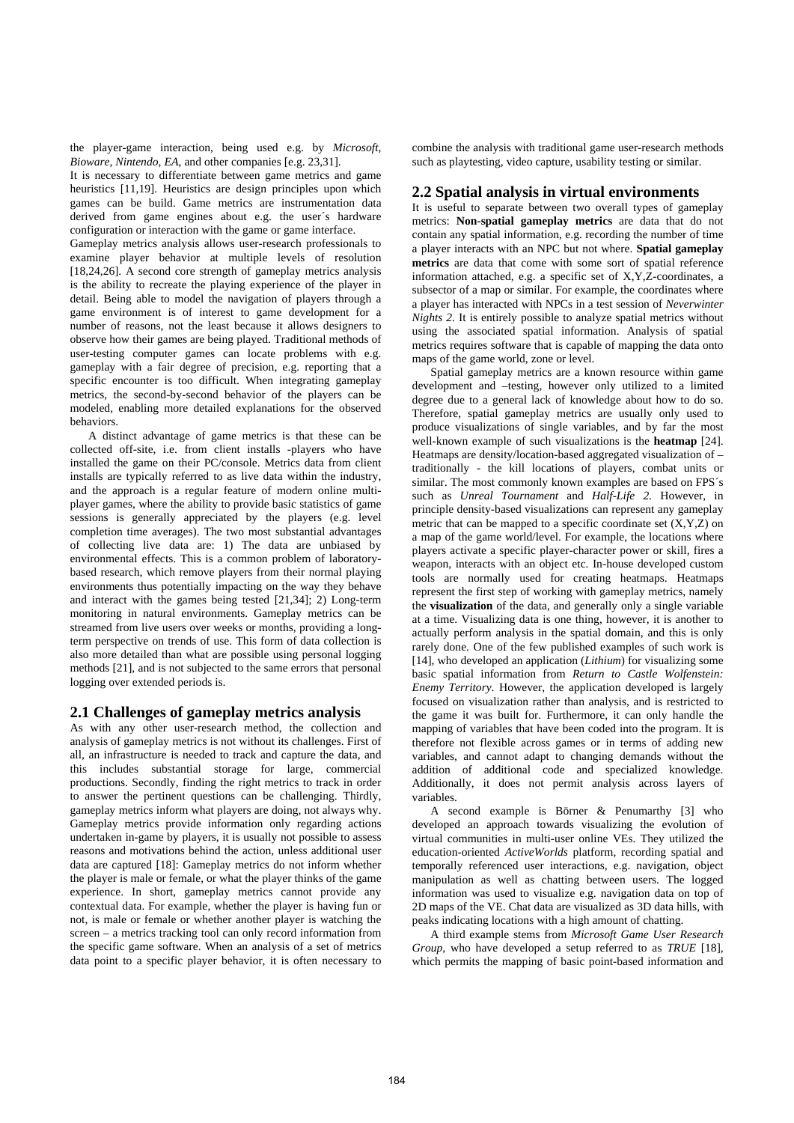the player-game interaction, being used e.g. by *Microsoft, Bioware, Nintendo, EA*, and other companies [e.g. 23,31].

It is necessary to differentiate between game metrics and game heuristics [11,19]. Heuristics are design principles upon which games can be build. Game metrics are instrumentation data derived from game engines about e.g. the user´s hardware configuration or interaction with the game or game interface.

Gameplay metrics analysis allows user-research professionals to examine player behavior at multiple levels of resolution [18,24,26]. A second core strength of gameplay metrics analysis is the ability to recreate the playing experience of the player in detail. Being able to model the navigation of players through a game environment is of interest to game development for a number of reasons, not the least because it allows designers to observe how their games are being played. Traditional methods of user-testing computer games can locate problems with e.g. gameplay with a fair degree of precision, e.g. reporting that a specific encounter is too difficult. When integrating gameplay metrics, the second-by-second behavior of the players can be modeled, enabling more detailed explanations for the observed behaviors.

A distinct advantage of game metrics is that these can be collected off-site, i.e. from client installs -players who have installed the game on their PC/console. Metrics data from client installs are typically referred to as live data within the industry, and the approach is a regular feature of modern online multiplayer games, where the ability to provide basic statistics of game sessions is generally appreciated by the players (e.g. level completion time averages). The two most substantial advantages of collecting live data are: 1) The data are unbiased by environmental effects. This is a common problem of laboratorybased research, which remove players from their normal playing environments thus potentially impacting on the way they behave and interact with the games being tested [21,34]; 2) Long-term monitoring in natural environments. Gameplay metrics can be streamed from live users over weeks or months, providing a longterm perspective on trends of use. This form of data collection is also more detailed than what are possible using personal logging methods [21], and is not subjected to the same errors that personal logging over extended periods is.

## **2.1 Challenges of gameplay metrics analysis**

As with any other user-research method, the collection and analysis of gameplay metrics is not without its challenges. First of all, an infrastructure is needed to track and capture the data, and this includes substantial storage for large, commercial productions. Secondly, finding the right metrics to track in order to answer the pertinent questions can be challenging. Thirdly, gameplay metrics inform what players are doing, not always why. Gameplay metrics provide information only regarding actions undertaken in-game by players, it is usually not possible to assess reasons and motivations behind the action, unless additional user data are captured [18]: Gameplay metrics do not inform whether the player is male or female, or what the player thinks of the game experience. In short, gameplay metrics cannot provide any contextual data. For example, whether the player is having fun or not, is male or female or whether another player is watching the screen – a metrics tracking tool can only record information from the specific game software. When an analysis of a set of metrics data point to a specific player behavior, it is often necessary to

combine the analysis with traditional game user-research methods such as playtesting, video capture, usability testing or similar.

## **2.2 Spatial analysis in virtual environments**

It is useful to separate between two overall types of gameplay metrics: **Non-spatial gameplay metrics** are data that do not contain any spatial information, e.g. recording the number of time a player interacts with an NPC but not where. **Spatial gameplay metrics** are data that come with some sort of spatial reference information attached, e.g. a specific set of X,Y,Z-coordinates, a subsector of a map or similar. For example, the coordinates where a player has interacted with NPCs in a test session of *Neverwinter Nights 2.* It is entirely possible to analyze spatial metrics without using the associated spatial information. Analysis of spatial metrics requires software that is capable of mapping the data onto maps of the game world, zone or level.

Spatial gameplay metrics are a known resource within game development and –testing, however only utilized to a limited degree due to a general lack of knowledge about how to do so. Therefore, spatial gameplay metrics are usually only used to produce visualizations of single variables, and by far the most well-known example of such visualizations is the **heatmap** [24]. Heatmaps are density/location-based aggregated visualization of – traditionally - the kill locations of players, combat units or similar. The most commonly known examples are based on FPS´s such as *Unreal Tournament* and *Half-Life 2.* However, in principle density-based visualizations can represent any gameplay metric that can be mapped to a specific coordinate set  $(X, Y, Z)$  on a map of the game world/level. For example, the locations where players activate a specific player-character power or skill, fires a weapon, interacts with an object etc. In-house developed custom tools are normally used for creating heatmaps. Heatmaps represent the first step of working with gameplay metrics, namely the **visualization** of the data, and generally only a single variable at a time. Visualizing data is one thing, however, it is another to actually perform analysis in the spatial domain, and this is only rarely done. One of the few published examples of such work is [14], who developed an application (*Lithium*) for visualizing some basic spatial information from *Return to Castle Wolfenstein: Enemy Territory*. However, the application developed is largely focused on visualization rather than analysis, and is restricted to the game it was built for. Furthermore, it can only handle the mapping of variables that have been coded into the program. It is therefore not flexible across games or in terms of adding new variables, and cannot adapt to changing demands without the addition of additional code and specialized knowledge. Additionally, it does not permit analysis across layers of variables.

A second example is Börner & Penumarthy [3] who developed an approach towards visualizing the evolution of virtual communities in multi-user online VEs. They utilized the education-oriented *ActiveWorlds* platform, recording spatial and temporally referenced user interactions, e.g. navigation, object manipulation as well as chatting between users. The logged information was used to visualize e.g. navigation data on top of 2D maps of the VE. Chat data are visualized as 3D data hills, with peaks indicating locations with a high amount of chatting.

A third example stems from *Microsoft Game User Research Group*, who have developed a setup referred to as *TRUE* [18], which permits the mapping of basic point-based information and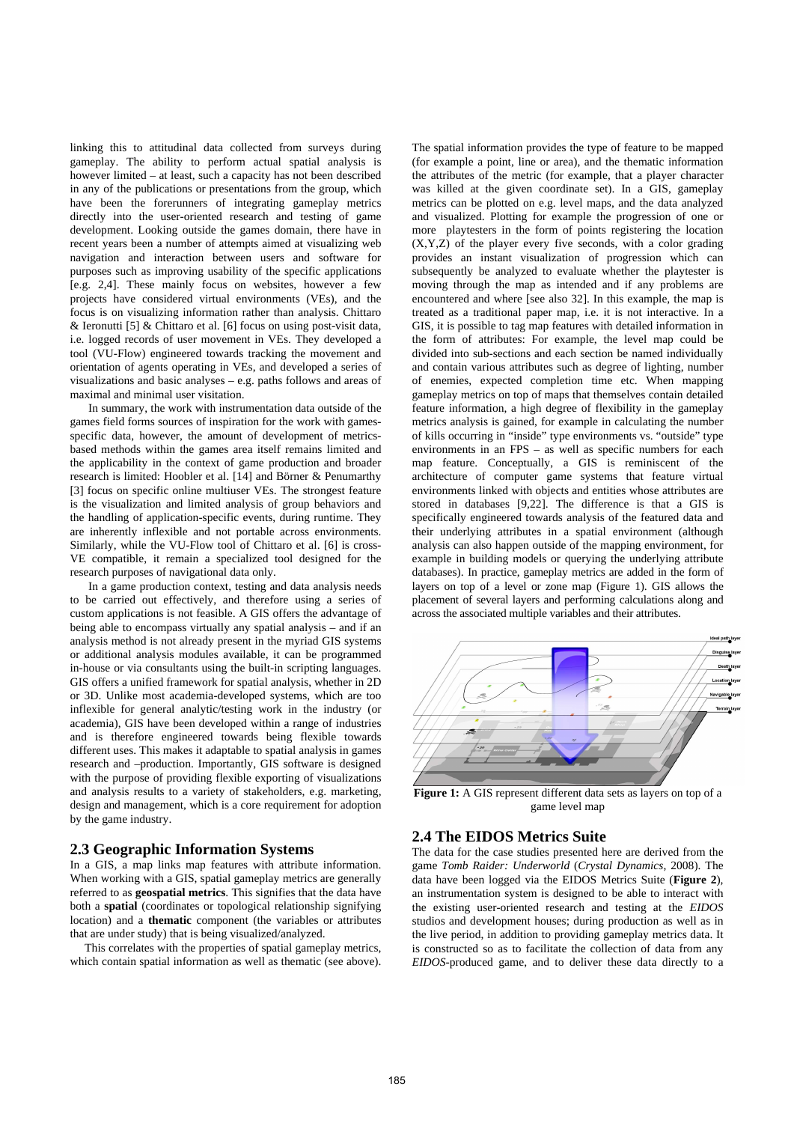linking this to attitudinal data collected from surveys during gameplay. The ability to perform actual spatial analysis is however limited – at least, such a capacity has not been described in any of the publications or presentations from the group, which have been the forerunners of integrating gameplay metrics directly into the user-oriented research and testing of game development. Looking outside the games domain, there have in recent years been a number of attempts aimed at visualizing web navigation and interaction between users and software for purposes such as improving usability of the specific applications [e.g. 2,4]. These mainly focus on websites, however a few projects have considered virtual environments (VEs), and the focus is on visualizing information rather than analysis. Chittaro & Ieronutti [5] & Chittaro et al. [6] focus on using post-visit data, i.e. logged records of user movement in VEs. They developed a tool (VU-Flow) engineered towards tracking the movement and orientation of agents operating in VEs, and developed a series of visualizations and basic analyses – e.g. paths follows and areas of maximal and minimal user visitation.

In summary, the work with instrumentation data outside of the games field forms sources of inspiration for the work with gamesspecific data, however, the amount of development of metricsbased methods within the games area itself remains limited and the applicability in the context of game production and broader research is limited: Hoobler et al. [14] and Börner & Penumarthy [3] focus on specific online multiuser VEs. The strongest feature is the visualization and limited analysis of group behaviors and the handling of application-specific events, during runtime. They are inherently inflexible and not portable across environments. Similarly, while the VU-Flow tool of Chittaro et al. [6] is cross-VE compatible, it remain a specialized tool designed for the research purposes of navigational data only.

In a game production context, testing and data analysis needs to be carried out effectively, and therefore using a series of custom applications is not feasible. A GIS offers the advantage of being able to encompass virtually any spatial analysis – and if an analysis method is not already present in the myriad GIS systems or additional analysis modules available, it can be programmed in-house or via consultants using the built-in scripting languages. GIS offers a unified framework for spatial analysis, whether in 2D or 3D. Unlike most academia-developed systems, which are too inflexible for general analytic/testing work in the industry (or academia), GIS have been developed within a range of industries and is therefore engineered towards being flexible towards different uses. This makes it adaptable to spatial analysis in games research and –production. Importantly, GIS software is designed with the purpose of providing flexible exporting of visualizations and analysis results to a variety of stakeholders, e.g. marketing, design and management, which is a core requirement for adoption by the game industry.

## **2.3 Geographic Information Systems**

In a GIS, a map links map features with attribute information. When working with a GIS, spatial gameplay metrics are generally referred to as **geospatial metrics**. This signifies that the data have both a **spatial** (coordinates or topological relationship signifying location) and a **thematic** component (the variables or attributes that are under study) that is being visualized/analyzed.

This correlates with the properties of spatial gameplay metrics, which contain spatial information as well as thematic (see above). The spatial information provides the type of feature to be mapped (for example a point, line or area), and the thematic information the attributes of the metric (for example, that a player character was killed at the given coordinate set). In a GIS, gameplay metrics can be plotted on e.g. level maps, and the data analyzed and visualized. Plotting for example the progression of one or more playtesters in the form of points registering the location (X,Y,Z) of the player every five seconds, with a color grading provides an instant visualization of progression which can subsequently be analyzed to evaluate whether the playtester is moving through the map as intended and if any problems are encountered and where [see also 32]. In this example, the map is treated as a traditional paper map, i.e. it is not interactive. In a GIS, it is possible to tag map features with detailed information in the form of attributes: For example, the level map could be divided into sub-sections and each section be named individually and contain various attributes such as degree of lighting, number of enemies, expected completion time etc. When mapping gameplay metrics on top of maps that themselves contain detailed feature information, a high degree of flexibility in the gameplay metrics analysis is gained, for example in calculating the number of kills occurring in "inside" type environments vs. "outside" type environments in an FPS – as well as specific numbers for each map feature. Conceptually, a GIS is reminiscent of the architecture of computer game systems that feature virtual environments linked with objects and entities whose attributes are stored in databases [9,22]. The difference is that a GIS is specifically engineered towards analysis of the featured data and their underlying attributes in a spatial environment (although analysis can also happen outside of the mapping environment, for example in building models or querying the underlying attribute databases). In practice, gameplay metrics are added in the form of layers on top of a level or zone map (Figure 1). GIS allows the placement of several layers and performing calculations along and across the associated multiple variables and their attributes.



**Figure 1:** A GIS represent different data sets as layers on top of a game level map

## **2.4 The EIDOS Metrics Suite**

The data for the case studies presented here are derived from the game *Tomb Raider: Underworld* (*Crystal Dynamics*, 2008). The data have been logged via the EIDOS Metrics Suite (**Figure 2**), an instrumentation system is designed to be able to interact with the existing user-oriented research and testing at the *EIDOS* studios and development houses; during production as well as in the live period, in addition to providing gameplay metrics data. It is constructed so as to facilitate the collection of data from any *EIDOS*-produced game, and to deliver these data directly to a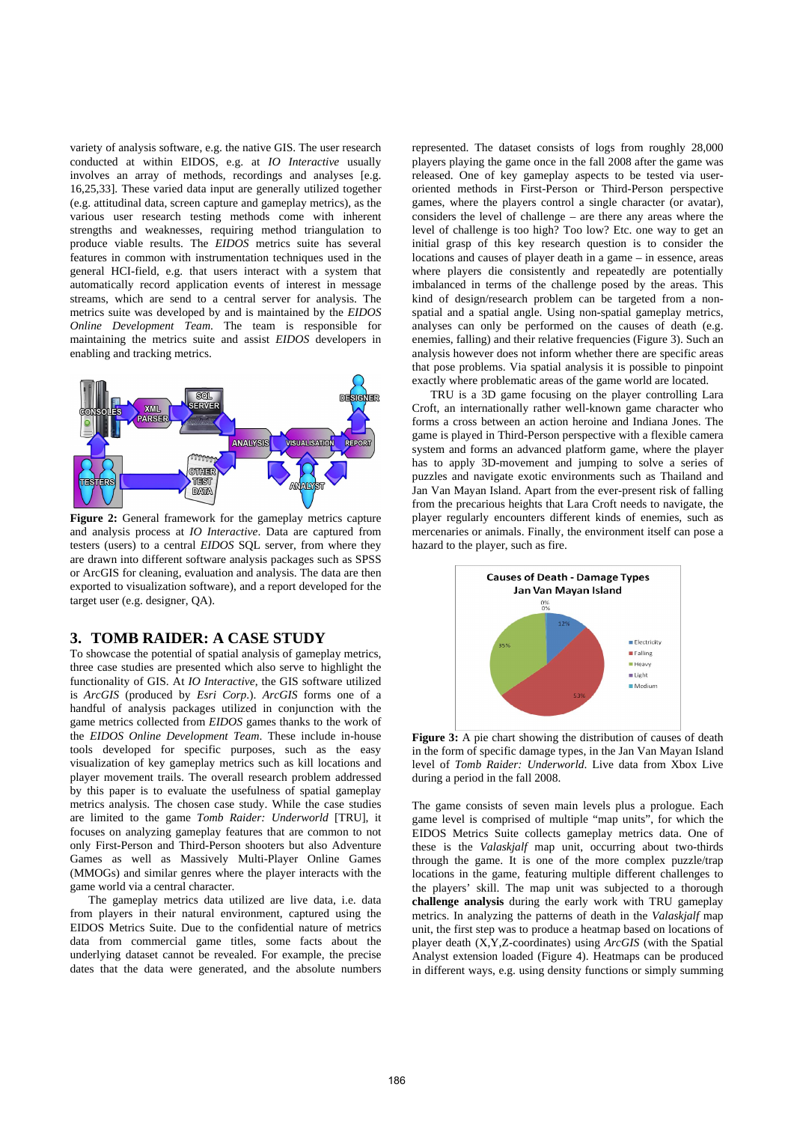variety of analysis software, e.g. the native GIS. The user research conducted at within EIDOS, e.g. at *IO Interactive* usually involves an array of methods, recordings and analyses [e.g. 16,25,33]. These varied data input are generally utilized together (e.g. attitudinal data, screen capture and gameplay metrics), as the various user research testing methods come with inherent strengths and weaknesses, requiring method triangulation to produce viable results. The *EIDOS* metrics suite has several features in common with instrumentation techniques used in the general HCI-field, e.g. that users interact with a system that automatically record application events of interest in message streams, which are send to a central server for analysis. The metrics suite was developed by and is maintained by the *EIDOS Online Development Team*. The team is responsible for maintaining the metrics suite and assist *EIDOS* developers in enabling and tracking metrics.



Figure 2: General framework for the gameplay metrics capture and analysis process at *IO Interactive*. Data are captured from testers (users) to a central *EIDOS* SQL server, from where they are drawn into different software analysis packages such as SPSS or ArcGIS for cleaning, evaluation and analysis. The data are then exported to visualization software), and a report developed for the target user (e.g. designer, QA).

## **3. TOMB RAIDER: A CASE STUDY**

To showcase the potential of spatial analysis of gameplay metrics, three case studies are presented which also serve to highlight the functionality of GIS. At *IO Interactive*, the GIS software utilized is *ArcGIS* (produced by *Esri Corp*.). *ArcGIS* forms one of a handful of analysis packages utilized in conjunction with the game metrics collected from *EIDOS* games thanks to the work of the *EIDOS Online Development Team*. These include in-house tools developed for specific purposes, such as the easy visualization of key gameplay metrics such as kill locations and player movement trails. The overall research problem addressed by this paper is to evaluate the usefulness of spatial gameplay metrics analysis. The chosen case study. While the case studies are limited to the game *Tomb Raider: Underworld* [TRU], it focuses on analyzing gameplay features that are common to not only First-Person and Third-Person shooters but also Adventure Games as well as Massively Multi-Player Online Games (MMOGs) and similar genres where the player interacts with the game world via a central character.

The gameplay metrics data utilized are live data, i.e. data from players in their natural environment, captured using the EIDOS Metrics Suite. Due to the confidential nature of metrics data from commercial game titles, some facts about the underlying dataset cannot be revealed. For example, the precise dates that the data were generated, and the absolute numbers

represented. The dataset consists of logs from roughly 28,000 players playing the game once in the fall 2008 after the game was released. One of key gameplay aspects to be tested via useroriented methods in First-Person or Third-Person perspective games, where the players control a single character (or avatar), considers the level of challenge – are there any areas where the level of challenge is too high? Too low? Etc. one way to get an initial grasp of this key research question is to consider the locations and causes of player death in a game – in essence, areas where players die consistently and repeatedly are potentially imbalanced in terms of the challenge posed by the areas. This kind of design/research problem can be targeted from a nonspatial and a spatial angle. Using non-spatial gameplay metrics, analyses can only be performed on the causes of death (e.g. enemies, falling) and their relative frequencies (Figure 3). Such an analysis however does not inform whether there are specific areas that pose problems. Via spatial analysis it is possible to pinpoint exactly where problematic areas of the game world are located.

TRU is a 3D game focusing on the player controlling Lara Croft, an internationally rather well-known game character who forms a cross between an action heroine and Indiana Jones. The game is played in Third-Person perspective with a flexible camera system and forms an advanced platform game, where the player has to apply 3D-movement and jumping to solve a series of puzzles and navigate exotic environments such as Thailand and Jan Van Mayan Island. Apart from the ever-present risk of falling from the precarious heights that Lara Croft needs to navigate, the player regularly encounters different kinds of enemies, such as mercenaries or animals. Finally, the environment itself can pose a hazard to the player, such as fire.



Figure 3: A pie chart showing the distribution of causes of death in the form of specific damage types, in the Jan Van Mayan Island level of *Tomb Raider: Underworld*. Live data from Xbox Live during a period in the fall 2008.

The game consists of seven main levels plus a prologue. Each game level is comprised of multiple "map units", for which the EIDOS Metrics Suite collects gameplay metrics data. One of these is the *Valaskjalf* map unit, occurring about two-thirds through the game. It is one of the more complex puzzle/trap locations in the game, featuring multiple different challenges to the players' skill. The map unit was subjected to a thorough **challenge analysis** during the early work with TRU gameplay metrics. In analyzing the patterns of death in the *Valaskjalf* map unit, the first step was to produce a heatmap based on locations of player death (X,Y,Z-coordinates) using *ArcGIS* (with the Spatial Analyst extension loaded (Figure 4). Heatmaps can be produced in different ways, e.g. using density functions or simply summing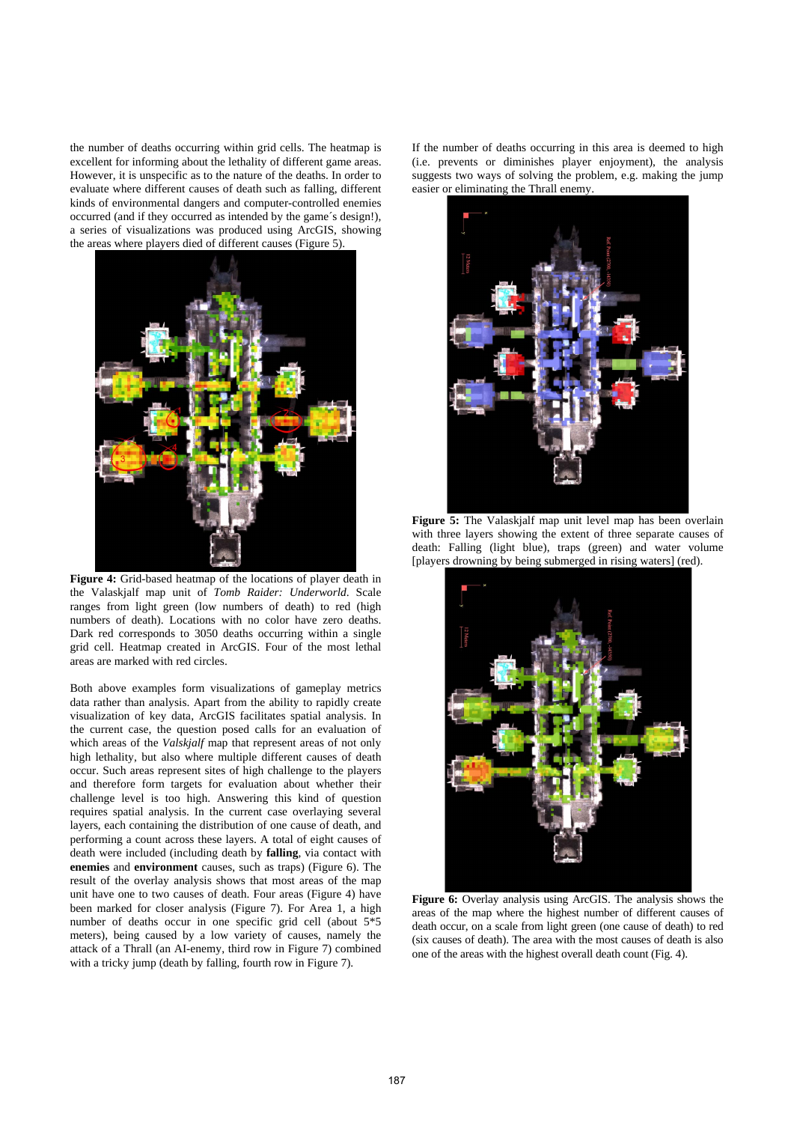the number of deaths occurring within grid cells. The heatmap is excellent for informing about the lethality of different game areas. However, it is unspecific as to the nature of the deaths. In order to evaluate where different causes of death such as falling, different kinds of environmental dangers and computer-controlled enemies occurred (and if they occurred as intended by the game´s design!), a series of visualizations was produced using ArcGIS, showing the areas where players died of different causes (Figure 5).



**Figure 4:** Grid-based heatmap of the locations of player death in the Valaskjalf map unit of *Tomb Raider: Underworld*. Scale ranges from light green (low numbers of death) to red (high numbers of death). Locations with no color have zero deaths. Dark red corresponds to 3050 deaths occurring within a single grid cell. Heatmap created in ArcGIS. Four of the most lethal areas are marked with red circles.

Both above examples form visualizations of gameplay metrics data rather than analysis. Apart from the ability to rapidly create visualization of key data, ArcGIS facilitates spatial analysis. In the current case, the question posed calls for an evaluation of which areas of the *Valskjalf* map that represent areas of not only high lethality, but also where multiple different causes of death occur. Such areas represent sites of high challenge to the players and therefore form targets for evaluation about whether their challenge level is too high. Answering this kind of question requires spatial analysis. In the current case overlaying several layers, each containing the distribution of one cause of death, and performing a count across these layers. A total of eight causes of death were included (including death by **falling**, via contact with **enemies** and **environment** causes, such as traps) (Figure 6). The result of the overlay analysis shows that most areas of the map unit have one to two causes of death. Four areas (Figure 4) have been marked for closer analysis (Figure 7). For Area 1, a high number of deaths occur in one specific grid cell (about 5\*5 meters), being caused by a low variety of causes, namely the attack of a Thrall (an AI-enemy, third row in Figure 7) combined with a tricky jump (death by falling, fourth row in Figure 7).

If the number of deaths occurring in this area is deemed to high (i.e. prevents or diminishes player enjoyment), the analysis suggests two ways of solving the problem, e.g. making the jump easier or eliminating the Thrall enemy.



**Figure 5:** The Valaskjalf map unit level map has been overlain with three layers showing the extent of three separate causes of death: Falling (light blue), traps (green) and water volume [players drowning by being submerged in rising waters] (red).



**Figure 6:** Overlay analysis using ArcGIS. The analysis shows the areas of the map where the highest number of different causes of death occur, on a scale from light green (one cause of death) to red (six causes of death). The area with the most causes of death is also one of the areas with the highest overall death count (Fig. 4).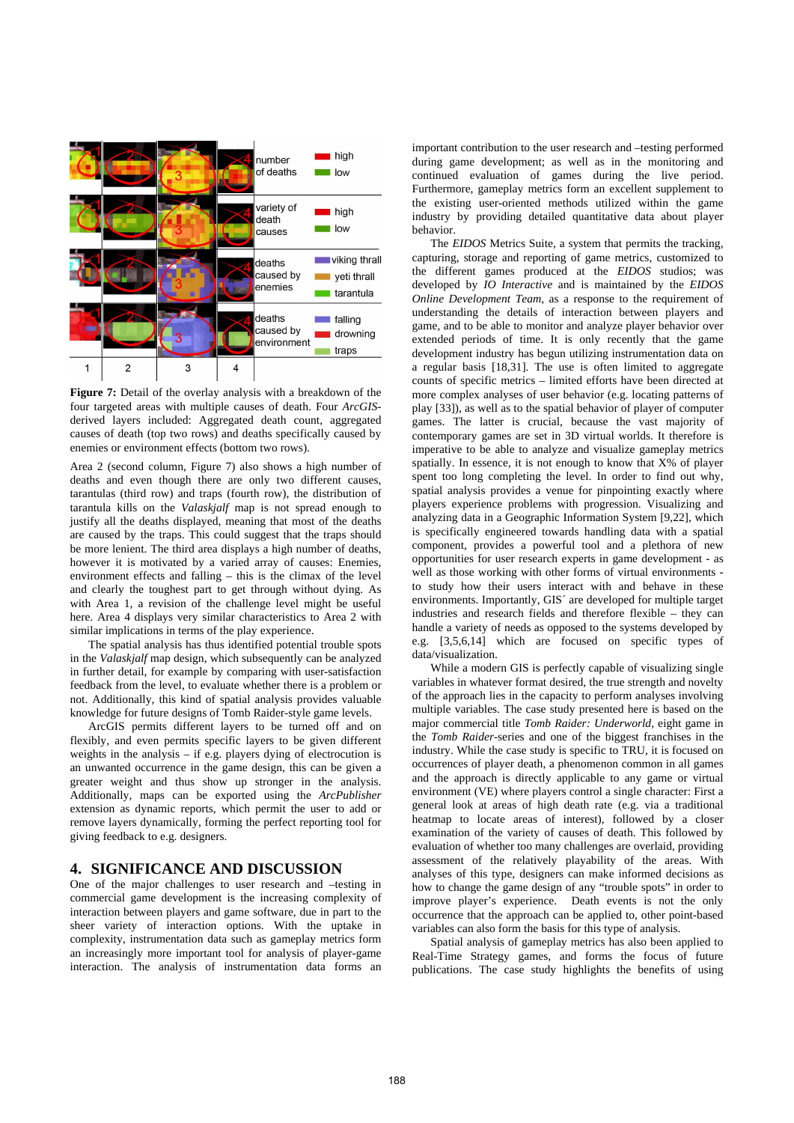

**Figure 7:** Detail of the overlay analysis with a breakdown of the four targeted areas with multiple causes of death. Four *ArcGIS*derived layers included: Aggregated death count, aggregated causes of death (top two rows) and deaths specifically caused by enemies or environment effects (bottom two rows).

Area 2 (second column, Figure 7) also shows a high number of deaths and even though there are only two different causes, tarantulas (third row) and traps (fourth row), the distribution of tarantula kills on the *Valaskjalf* map is not spread enough to justify all the deaths displayed, meaning that most of the deaths are caused by the traps. This could suggest that the traps should be more lenient. The third area displays a high number of deaths, however it is motivated by a varied array of causes: Enemies, environment effects and falling – this is the climax of the level and clearly the toughest part to get through without dying. As with Area 1, a revision of the challenge level might be useful here. Area 4 displays very similar characteristics to Area 2 with similar implications in terms of the play experience.

The spatial analysis has thus identified potential trouble spots in the *Valaskjalf* map design, which subsequently can be analyzed in further detail, for example by comparing with user-satisfaction feedback from the level, to evaluate whether there is a problem or not. Additionally, this kind of spatial analysis provides valuable knowledge for future designs of Tomb Raider-style game levels.

ArcGIS permits different layers to be turned off and on flexibly, and even permits specific layers to be given different weights in the analysis – if e.g. players dying of electrocution is an unwanted occurrence in the game design, this can be given a greater weight and thus show up stronger in the analysis. Additionally, maps can be exported using the *ArcPublisher* extension as dynamic reports, which permit the user to add or remove layers dynamically, forming the perfect reporting tool for giving feedback to e.g. designers.

# **4. SIGNIFICANCE AND DISCUSSION**

One of the major challenges to user research and –testing in commercial game development is the increasing complexity of interaction between players and game software, due in part to the sheer variety of interaction options. With the uptake in complexity, instrumentation data such as gameplay metrics form an increasingly more important tool for analysis of player-game interaction. The analysis of instrumentation data forms an

important contribution to the user research and –testing performed during game development; as well as in the monitoring and continued evaluation of games during the live period. Furthermore, gameplay metrics form an excellent supplement to the existing user-oriented methods utilized within the game industry by providing detailed quantitative data about player behavior.

The *EIDOS* Metrics Suite, a system that permits the tracking, capturing, storage and reporting of game metrics, customized to the different games produced at the *EIDOS* studios; was developed by *IO Interactive* and is maintained by the *EIDOS Online Development Team*, as a response to the requirement of understanding the details of interaction between players and game, and to be able to monitor and analyze player behavior over extended periods of time. It is only recently that the game development industry has begun utilizing instrumentation data on a regular basis [18,31]. The use is often limited to aggregate counts of specific metrics – limited efforts have been directed at more complex analyses of user behavior (e.g. locating patterns of play [33]), as well as to the spatial behavior of player of computer games. The latter is crucial, because the vast majority of contemporary games are set in 3D virtual worlds. It therefore is imperative to be able to analyze and visualize gameplay metrics spatially. In essence, it is not enough to know that X% of player spent too long completing the level. In order to find out why, spatial analysis provides a venue for pinpointing exactly where players experience problems with progression. Visualizing and analyzing data in a Geographic Information System [9,22], which is specifically engineered towards handling data with a spatial component, provides a powerful tool and a plethora of new opportunities for user research experts in game development - as well as those working with other forms of virtual environments to study how their users interact with and behave in these environments. Importantly, GIS´ are developed for multiple target industries and research fields and therefore flexible – they can handle a variety of needs as opposed to the systems developed by e.g. [3,5,6,14] which are focused on specific types of data/visualization.

While a modern GIS is perfectly capable of visualizing single variables in whatever format desired, the true strength and novelty of the approach lies in the capacity to perform analyses involving multiple variables. The case study presented here is based on the major commercial title *Tomb Raider: Underworld*, eight game in the *Tomb Raider*-series and one of the biggest franchises in the industry. While the case study is specific to TRU, it is focused on occurrences of player death, a phenomenon common in all games and the approach is directly applicable to any game or virtual environment (VE) where players control a single character: First a general look at areas of high death rate (e.g. via a traditional heatmap to locate areas of interest), followed by a closer examination of the variety of causes of death. This followed by evaluation of whether too many challenges are overlaid, providing assessment of the relatively playability of the areas. With analyses of this type, designers can make informed decisions as how to change the game design of any "trouble spots" in order to improve player's experience. Death events is not the only occurrence that the approach can be applied to, other point-based variables can also form the basis for this type of analysis.

Spatial analysis of gameplay metrics has also been applied to Real-Time Strategy games, and forms the focus of future publications. The case study highlights the benefits of using